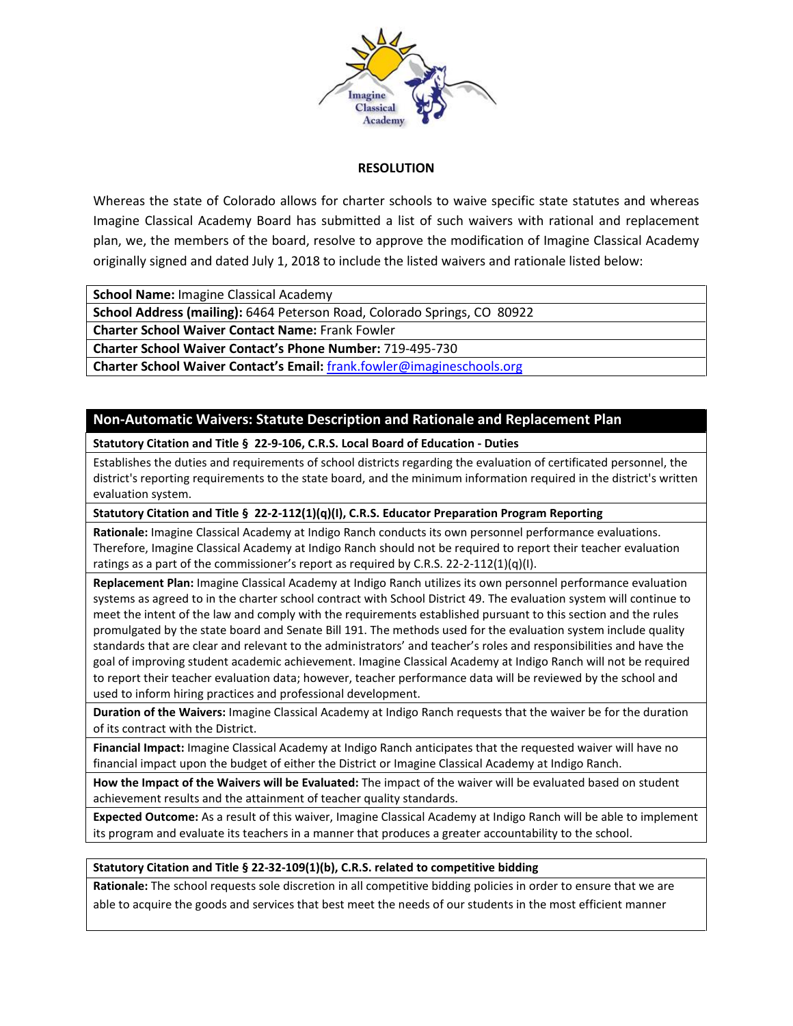

## **RESOLUTION**

Whereas the state of Colorado allows for charter schools to waive specific state statutes and whereas Imagine Classical Academy Board has submitted a list of such waivers with rational and replacement plan, we, the members of the board, resolve to approve the modification of Imagine Classical Academy originally signed and dated July 1, 2018 to include the listed waivers and rationale listed below:

**School Name:** Imagine Classical Academy

**School Address (mailing):** 6464 Peterson Road, Colorado Springs, CO 80922

**Charter School Waiver Contact Name:** Frank Fowler

**Charter School Waiver Contact's Phone Number:** 719-495-730

**Charter School Waiver Contact's Email:** [frank.fowler@imagineschools.org](mailto:frank.fowler@imagineschools.org)

# **Non-Automatic Waivers: Statute Description and Rationale and Replacement Plan**

**Statutory Citation and Title § 22-9-106, C.R.S. Local Board of Education - Duties** 

Establishes the duties and requirements of school districts regarding the evaluation of certificated personnel, the district's reporting requirements to the state board, and the minimum information required in the district's written evaluation system.

**Statutory Citation and Title § 22-2-112(1)(q)(I), C.R.S. Educator Preparation Program Reporting** 

**Rationale:** Imagine Classical Academy at Indigo Ranch conducts its own personnel performance evaluations. Therefore, Imagine Classical Academy at Indigo Ranch should not be required to report their teacher evaluation ratings as a part of the commissioner's report as required by C.R.S. 22-2-112(1)(q)(I).

**Replacement Plan:** Imagine Classical Academy at Indigo Ranch utilizes its own personnel performance evaluation systems as agreed to in the charter school contract with School District 49. The evaluation system will continue to meet the intent of the law and comply with the requirements established pursuant to this section and the rules promulgated by the state board and Senate Bill 191. The methods used for the evaluation system include quality standards that are clear and relevant to the administrators' and teacher's roles and responsibilities and have the goal of improving student academic achievement. Imagine Classical Academy at Indigo Ranch will not be required to report their teacher evaluation data; however, teacher performance data will be reviewed by the school and used to inform hiring practices and professional development.

**Duration of the Waivers:** Imagine Classical Academy at Indigo Ranch requests that the waiver be for the duration of its contract with the District.

**Financial Impact:** Imagine Classical Academy at Indigo Ranch anticipates that the requested waiver will have no financial impact upon the budget of either the District or Imagine Classical Academy at Indigo Ranch.

**How the Impact of the Waivers will be Evaluated:** The impact of the waiver will be evaluated based on student achievement results and the attainment of teacher quality standards.

**Expected Outcome:** As a result of this waiver, Imagine Classical Academy at Indigo Ranch will be able to implement its program and evaluate its teachers in a manner that produces a greater accountability to the school.

### **Statutory Citation and Title § 22-32-109(1)(b), C.R.S. related to competitive bidding**

**Rationale:** The school requests sole discretion in all competitive bidding policies in order to ensure that we are able to acquire the goods and services that best meet the needs of our students in the most efficient manner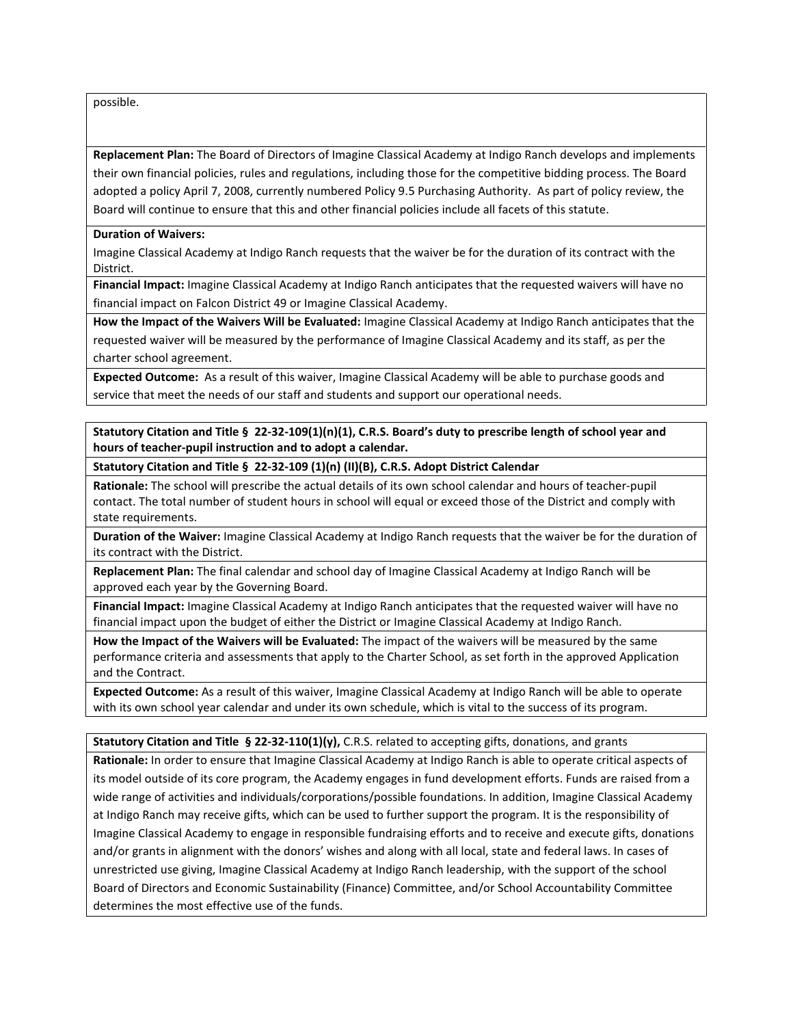possible.

**Replacement Plan:** The Board of Directors of Imagine Classical Academy at Indigo Ranch develops and implements their own financial policies, rules and regulations, including those for the competitive bidding process. The Board adopted a policy April 7, 2008, currently numbered Policy 9.5 Purchasing Authority. As part of policy review, the Board will continue to ensure that this and other financial policies include all facets of this statute.

#### **Duration of Waivers:**

Imagine Classical Academy at Indigo Ranch requests that the waiver be for the duration of its contract with the District.

**Financial Impact:** Imagine Classical Academy at Indigo Ranch anticipates that the requested waivers will have no financial impact on Falcon District 49 or Imagine Classical Academy.

**How the Impact of the Waivers Will be Evaluated:** Imagine Classical Academy at Indigo Ranch anticipates that the requested waiver will be measured by the performance of Imagine Classical Academy and its staff, as per the charter school agreement.

**Expected Outcome:** As a result of this waiver, Imagine Classical Academy will be able to purchase goods and service that meet the needs of our staff and students and support our operational needs.

**Statutory Citation and Title § 22-32-109(1)(n)(1), C.R.S. Board's duty to prescribe length of school year and hours of teacher-pupil instruction and to adopt a calendar.**

**Statutory Citation and Title § 22-32-109 (1)(n) (II)(B), C.R.S. Adopt District Calendar**

**Rationale:** The school will prescribe the actual details of its own school calendar and hours of teacher-pupil contact. The total number of student hours in school will equal or exceed those of the District and comply with state requirements.

**Duration of the Waiver:** Imagine Classical Academy at Indigo Ranch requests that the waiver be for the duration of its contract with the District.

**Replacement Plan:** The final calendar and school day of Imagine Classical Academy at Indigo Ranch will be approved each year by the Governing Board.

**Financial Impact:** Imagine Classical Academy at Indigo Ranch anticipates that the requested waiver will have no financial impact upon the budget of either the District or Imagine Classical Academy at Indigo Ranch.

**How the Impact of the Waivers will be Evaluated:** The impact of the waivers will be measured by the same performance criteria and assessments that apply to the Charter School, as set forth in the approved Application and the Contract.

**Expected Outcome:** As a result of this waiver, Imagine Classical Academy at Indigo Ranch will be able to operate with its own school year calendar and under its own schedule, which is vital to the success of its program.

**Statutory Citation and Title § 22-32-110(1)(y),** C.R.S. related to accepting gifts, donations, and grants

**Rationale:** In order to ensure that Imagine Classical Academy at Indigo Ranch is able to operate critical aspects of its model outside of its core program, the Academy engages in fund development efforts. Funds are raised from a wide range of activities and individuals/corporations/possible foundations. In addition, Imagine Classical Academy at Indigo Ranch may receive gifts, which can be used to further support the program. It is the responsibility of Imagine Classical Academy to engage in responsible fundraising efforts and to receive and execute gifts, donations and/or grants in alignment with the donors' wishes and along with all local, state and federal laws. In cases of unrestricted use giving, Imagine Classical Academy at Indigo Ranch leadership, with the support of the school Board of Directors and Economic Sustainability (Finance) Committee, and/or School Accountability Committee determines the most effective use of the funds.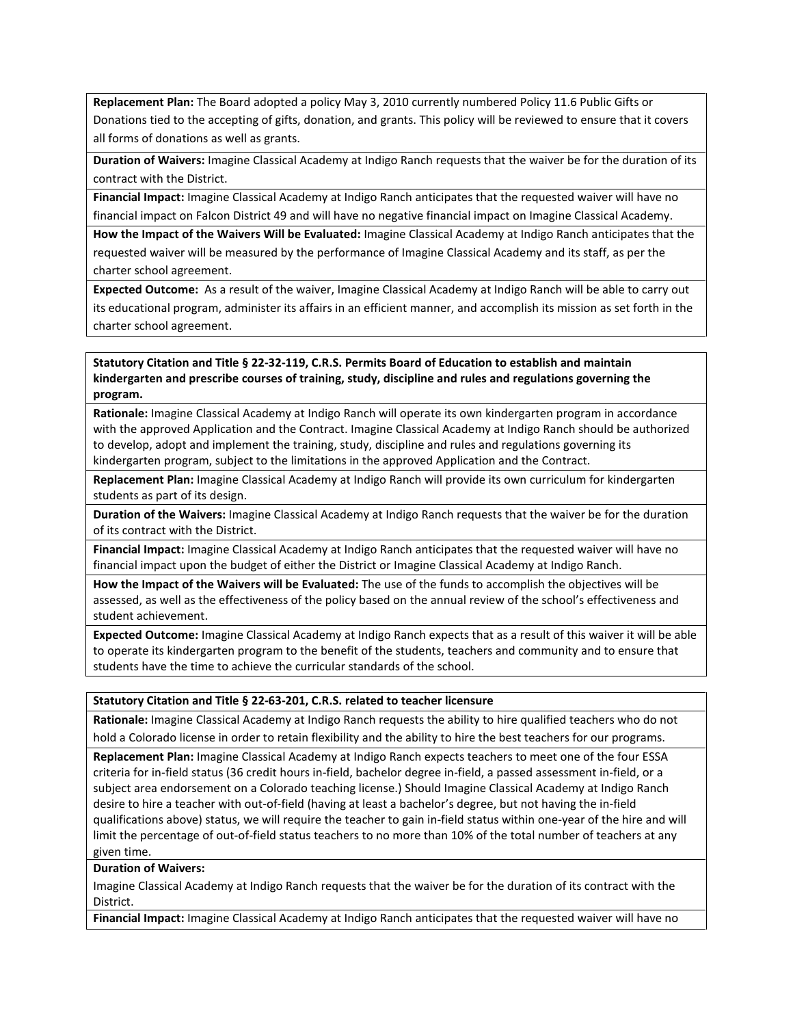**Replacement Plan:** The Board adopted a policy May 3, 2010 currently numbered Policy 11.6 Public Gifts or Donations tied to the accepting of gifts, donation, and grants. This policy will be reviewed to ensure that it covers all forms of donations as well as grants.

**Duration of Waivers:** Imagine Classical Academy at Indigo Ranch requests that the waiver be for the duration of its contract with the District.

**Financial Impact:** Imagine Classical Academy at Indigo Ranch anticipates that the requested waiver will have no financial impact on Falcon District 49 and will have no negative financial impact on Imagine Classical Academy.

**How the Impact of the Waivers Will be Evaluated:** Imagine Classical Academy at Indigo Ranch anticipates that the requested waiver will be measured by the performance of Imagine Classical Academy and its staff, as per the charter school agreement.

**Expected Outcome:** As a result of the waiver, Imagine Classical Academy at Indigo Ranch will be able to carry out its educational program, administer its affairs in an efficient manner, and accomplish its mission as set forth in the charter school agreement.

**Statutory Citation and Title § 22-32-119, C.R.S. Permits Board of Education to establish and maintain kindergarten and prescribe courses of training, study, discipline and rules and regulations governing the program.**

**Rationale:** Imagine Classical Academy at Indigo Ranch will operate its own kindergarten program in accordance with the approved Application and the Contract. Imagine Classical Academy at Indigo Ranch should be authorized to develop, adopt and implement the training, study, discipline and rules and regulations governing its kindergarten program, subject to the limitations in the approved Application and the Contract.

**Replacement Plan:** Imagine Classical Academy at Indigo Ranch will provide its own curriculum for kindergarten students as part of its design.

**Duration of the Waivers:** Imagine Classical Academy at Indigo Ranch requests that the waiver be for the duration of its contract with the District.

**Financial Impact:** Imagine Classical Academy at Indigo Ranch anticipates that the requested waiver will have no financial impact upon the budget of either the District or Imagine Classical Academy at Indigo Ranch.

**How the Impact of the Waivers will be Evaluated:** The use of the funds to accomplish the objectives will be assessed, as well as the effectiveness of the policy based on the annual review of the school's effectiveness and student achievement.

**Expected Outcome:** Imagine Classical Academy at Indigo Ranch expects that as a result of this waiver it will be able to operate its kindergarten program to the benefit of the students, teachers and community and to ensure that students have the time to achieve the curricular standards of the school.

#### **Statutory Citation and Title § 22-63-201, C.R.S. related to teacher licensure**

**Rationale:** Imagine Classical Academy at Indigo Ranch requests the ability to hire qualified teachers who do not hold a Colorado license in order to retain flexibility and the ability to hire the best teachers for our programs.

**Replacement Plan:** Imagine Classical Academy at Indigo Ranch expects teachers to meet one of the four ESSA criteria for in-field status (36 credit hours in-field, bachelor degree in-field, a passed assessment in-field, or a subject area endorsement on a Colorado teaching license.) Should Imagine Classical Academy at Indigo Ranch desire to hire a teacher with out-of-field (having at least a bachelor's degree, but not having the in-field qualifications above) status, we will require the teacher to gain in-field status within one-year of the hire and will limit the percentage of out-of-field status teachers to no more than 10% of the total number of teachers at any given time.

#### **Duration of Waivers:**

Imagine Classical Academy at Indigo Ranch requests that the waiver be for the duration of its contract with the District.

**Financial Impact:** Imagine Classical Academy at Indigo Ranch anticipates that the requested waiver will have no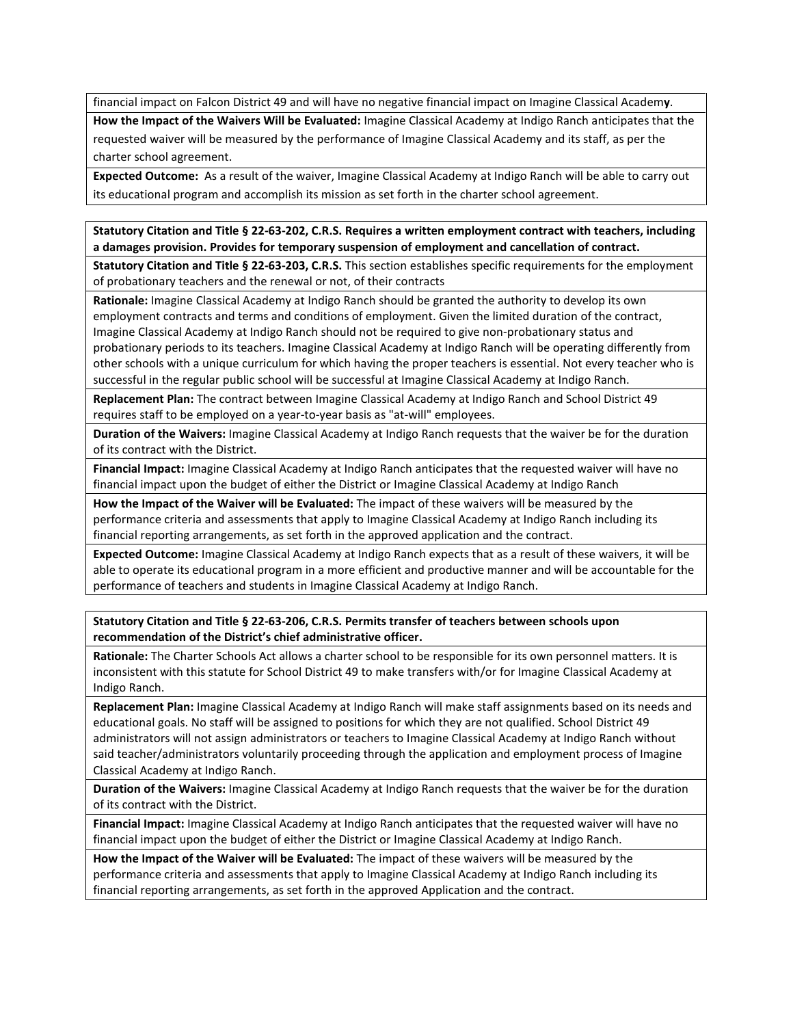financial impact on Falcon District 49 and will have no negative financial impact on Imagine Classical Academ**y**.

**How the Impact of the Waivers Will be Evaluated:** Imagine Classical Academy at Indigo Ranch anticipates that the requested waiver will be measured by the performance of Imagine Classical Academy and its staff, as per the charter school agreement.

**Expected Outcome:** As a result of the waiver, Imagine Classical Academy at Indigo Ranch will be able to carry out its educational program and accomplish its mission as set forth in the charter school agreement.

**Statutory Citation and Title § 22-63-202, C.R.S. Requires a written employment contract with teachers, including a damages provision. Provides for temporary suspension of employment and cancellation of contract.**

**Statutory Citation and Title § 22-63-203, C.R.S.** This section establishes specific requirements for the employment of probationary teachers and the renewal or not, of their contracts

**Rationale:** Imagine Classical Academy at Indigo Ranch should be granted the authority to develop its own employment contracts and terms and conditions of employment. Given the limited duration of the contract, Imagine Classical Academy at Indigo Ranch should not be required to give non-probationary status and probationary periods to its teachers. Imagine Classical Academy at Indigo Ranch will be operating differently from other schools with a unique curriculum for which having the proper teachers is essential. Not every teacher who is successful in the regular public school will be successful at Imagine Classical Academy at Indigo Ranch.

**Replacement Plan:** The contract between Imagine Classical Academy at Indigo Ranch and School District 49 requires staff to be employed on a year-to-year basis as "at-will" employees.

**Duration of the Waivers:** Imagine Classical Academy at Indigo Ranch requests that the waiver be for the duration of its contract with the District.

**Financial Impact:** Imagine Classical Academy at Indigo Ranch anticipates that the requested waiver will have no financial impact upon the budget of either the District or Imagine Classical Academy at Indigo Ranch

**How the Impact of the Waiver will be Evaluated:** The impact of these waivers will be measured by the performance criteria and assessments that apply to Imagine Classical Academy at Indigo Ranch including its financial reporting arrangements, as set forth in the approved application and the contract.

**Expected Outcome:** Imagine Classical Academy at Indigo Ranch expects that as a result of these waivers, it will be able to operate its educational program in a more efficient and productive manner and will be accountable for the performance of teachers and students in Imagine Classical Academy at Indigo Ranch.

**Statutory Citation and Title § 22-63-206, C.R.S. Permits transfer of teachers between schools upon recommendation of the District's chief administrative officer.**

**Rationale:** The Charter Schools Act allows a charter school to be responsible for its own personnel matters. It is inconsistent with this statute for School District 49 to make transfers with/or for Imagine Classical Academy at Indigo Ranch.

**Replacement Plan:** Imagine Classical Academy at Indigo Ranch will make staff assignments based on its needs and educational goals. No staff will be assigned to positions for which they are not qualified. School District 49 administrators will not assign administrators or teachers to Imagine Classical Academy at Indigo Ranch without said teacher/administrators voluntarily proceeding through the application and employment process of Imagine Classical Academy at Indigo Ranch.

**Duration of the Waivers:** Imagine Classical Academy at Indigo Ranch requests that the waiver be for the duration of its contract with the District.

**Financial Impact:** Imagine Classical Academy at Indigo Ranch anticipates that the requested waiver will have no financial impact upon the budget of either the District or Imagine Classical Academy at Indigo Ranch.

**How the Impact of the Waiver will be Evaluated:** The impact of these waivers will be measured by the performance criteria and assessments that apply to Imagine Classical Academy at Indigo Ranch including its financial reporting arrangements, as set forth in the approved Application and the contract.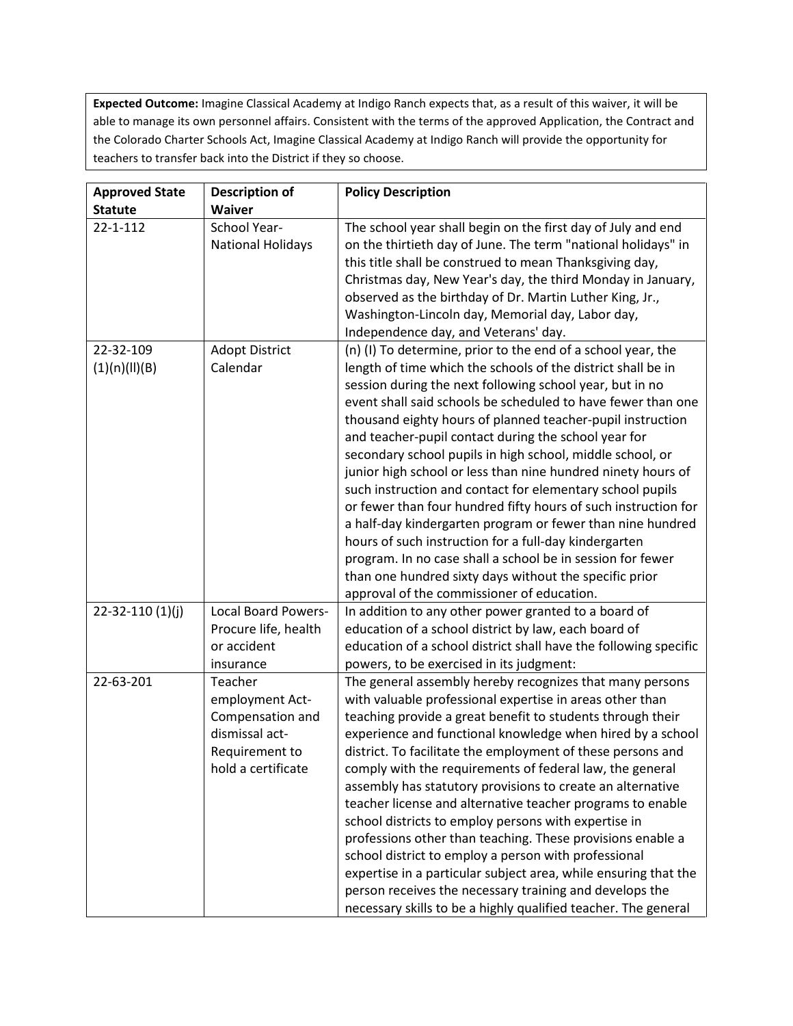**Expected Outcome:** Imagine Classical Academy at Indigo Ranch expects that, as a result of this waiver, it will be able to manage its own personnel affairs. Consistent with the terms of the approved Application, the Contract and the Colorado Charter Schools Act, Imagine Classical Academy at Indigo Ranch will provide the opportunity for teachers to transfer back into the District if they so choose.

| <b>Approved State</b>      | <b>Description of</b>                                                                                    | <b>Policy Description</b>                                                                                                                                                                                                                                                                                                                                                                                                                                                                                                                                                                                                                                                                                                                                                                                                                                                                                                               |
|----------------------------|----------------------------------------------------------------------------------------------------------|-----------------------------------------------------------------------------------------------------------------------------------------------------------------------------------------------------------------------------------------------------------------------------------------------------------------------------------------------------------------------------------------------------------------------------------------------------------------------------------------------------------------------------------------------------------------------------------------------------------------------------------------------------------------------------------------------------------------------------------------------------------------------------------------------------------------------------------------------------------------------------------------------------------------------------------------|
| <b>Statute</b>             | <b>Waiver</b>                                                                                            |                                                                                                                                                                                                                                                                                                                                                                                                                                                                                                                                                                                                                                                                                                                                                                                                                                                                                                                                         |
| $22 - 1 - 112$             | School Year-<br><b>National Holidays</b>                                                                 | The school year shall begin on the first day of July and end<br>on the thirtieth day of June. The term "national holidays" in<br>this title shall be construed to mean Thanksgiving day,<br>Christmas day, New Year's day, the third Monday in January,<br>observed as the birthday of Dr. Martin Luther King, Jr.,<br>Washington-Lincoln day, Memorial day, Labor day,<br>Independence day, and Veterans' day.                                                                                                                                                                                                                                                                                                                                                                                                                                                                                                                         |
| 22-32-109<br>(1)(n)(II)(B) | <b>Adopt District</b><br>Calendar                                                                        | (n) (I) To determine, prior to the end of a school year, the<br>length of time which the schools of the district shall be in<br>session during the next following school year, but in no<br>event shall said schools be scheduled to have fewer than one<br>thousand eighty hours of planned teacher-pupil instruction<br>and teacher-pupil contact during the school year for<br>secondary school pupils in high school, middle school, or<br>junior high school or less than nine hundred ninety hours of<br>such instruction and contact for elementary school pupils<br>or fewer than four hundred fifty hours of such instruction for<br>a half-day kindergarten program or fewer than nine hundred<br>hours of such instruction for a full-day kindergarten<br>program. In no case shall a school be in session for fewer<br>than one hundred sixty days without the specific prior<br>approval of the commissioner of education. |
| $22 - 32 - 110(1)(j)$      | <b>Local Board Powers-</b><br>Procure life, health<br>or accident<br>insurance                           | In addition to any other power granted to a board of<br>education of a school district by law, each board of<br>education of a school district shall have the following specific<br>powers, to be exercised in its judgment:                                                                                                                                                                                                                                                                                                                                                                                                                                                                                                                                                                                                                                                                                                            |
| 22-63-201                  | Teacher<br>employment Act-<br>Compensation and<br>dismissal act-<br>Requirement to<br>hold a certificate | The general assembly hereby recognizes that many persons<br>with valuable professional expertise in areas other than<br>teaching provide a great benefit to students through their<br>experience and functional knowledge when hired by a school<br>district. To facilitate the employment of these persons and<br>comply with the requirements of federal law, the general<br>assembly has statutory provisions to create an alternative<br>teacher license and alternative teacher programs to enable<br>school districts to employ persons with expertise in<br>professions other than teaching. These provisions enable a<br>school district to employ a person with professional<br>expertise in a particular subject area, while ensuring that the<br>person receives the necessary training and develops the<br>necessary skills to be a highly qualified teacher. The general                                                   |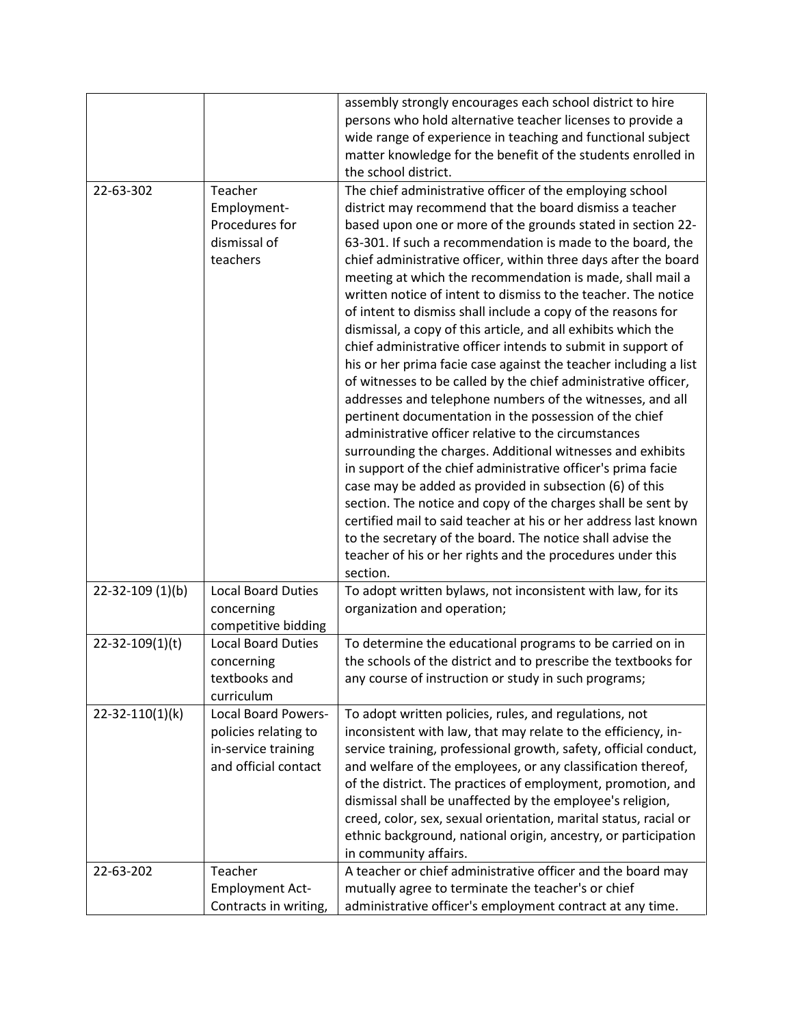|                        |                            | assembly strongly encourages each school district to hire<br>persons who hold alternative teacher licenses to provide a |
|------------------------|----------------------------|-------------------------------------------------------------------------------------------------------------------------|
|                        |                            | wide range of experience in teaching and functional subject                                                             |
|                        |                            | matter knowledge for the benefit of the students enrolled in                                                            |
|                        |                            | the school district.                                                                                                    |
| 22-63-302              | Teacher                    | The chief administrative officer of the employing school                                                                |
|                        | Employment-                | district may recommend that the board dismiss a teacher                                                                 |
|                        | Procedures for             | based upon one or more of the grounds stated in section 22-                                                             |
|                        | dismissal of               | 63-301. If such a recommendation is made to the board, the                                                              |
|                        | teachers                   | chief administrative officer, within three days after the board                                                         |
|                        |                            | meeting at which the recommendation is made, shall mail a                                                               |
|                        |                            | written notice of intent to dismiss to the teacher. The notice                                                          |
|                        |                            | of intent to dismiss shall include a copy of the reasons for                                                            |
|                        |                            | dismissal, a copy of this article, and all exhibits which the                                                           |
|                        |                            | chief administrative officer intends to submit in support of                                                            |
|                        |                            | his or her prima facie case against the teacher including a list                                                        |
|                        |                            | of witnesses to be called by the chief administrative officer,                                                          |
|                        |                            | addresses and telephone numbers of the witnesses, and all                                                               |
|                        |                            | pertinent documentation in the possession of the chief                                                                  |
|                        |                            | administrative officer relative to the circumstances                                                                    |
|                        |                            | surrounding the charges. Additional witnesses and exhibits                                                              |
|                        |                            | in support of the chief administrative officer's prima facie<br>case may be added as provided in subsection (6) of this |
|                        |                            | section. The notice and copy of the charges shall be sent by                                                            |
|                        |                            | certified mail to said teacher at his or her address last known                                                         |
|                        |                            | to the secretary of the board. The notice shall advise the                                                              |
|                        |                            | teacher of his or her rights and the procedures under this                                                              |
|                        |                            | section.                                                                                                                |
| $22 - 32 - 109$ (1)(b) | <b>Local Board Duties</b>  | To adopt written bylaws, not inconsistent with law, for its                                                             |
|                        | concerning                 | organization and operation;                                                                                             |
|                        | competitive bidding        |                                                                                                                         |
| 22-32-109(1)(t)        | <b>Local Board Duties</b>  | To determine the educational programs to be carried on in                                                               |
|                        | concerning                 | the schools of the district and to prescribe the textbooks for                                                          |
|                        | textbooks and              | any course of instruction or study in such programs;                                                                    |
|                        | curriculum                 |                                                                                                                         |
| 22-32-110(1)(k)        | <b>Local Board Powers-</b> | To adopt written policies, rules, and regulations, not                                                                  |
|                        | policies relating to       | inconsistent with law, that may relate to the efficiency, in-                                                           |
|                        | in-service training        | service training, professional growth, safety, official conduct,                                                        |
|                        | and official contact       | and welfare of the employees, or any classification thereof,                                                            |
|                        |                            | of the district. The practices of employment, promotion, and                                                            |
|                        |                            | dismissal shall be unaffected by the employee's religion,                                                               |
|                        |                            | creed, color, sex, sexual orientation, marital status, racial or                                                        |
|                        |                            | ethnic background, national origin, ancestry, or participation                                                          |
|                        | Teacher                    | in community affairs.                                                                                                   |
| 22-63-202              | <b>Employment Act-</b>     | A teacher or chief administrative officer and the board may<br>mutually agree to terminate the teacher's or chief       |
|                        | Contracts in writing,      | administrative officer's employment contract at any time.                                                               |
|                        |                            |                                                                                                                         |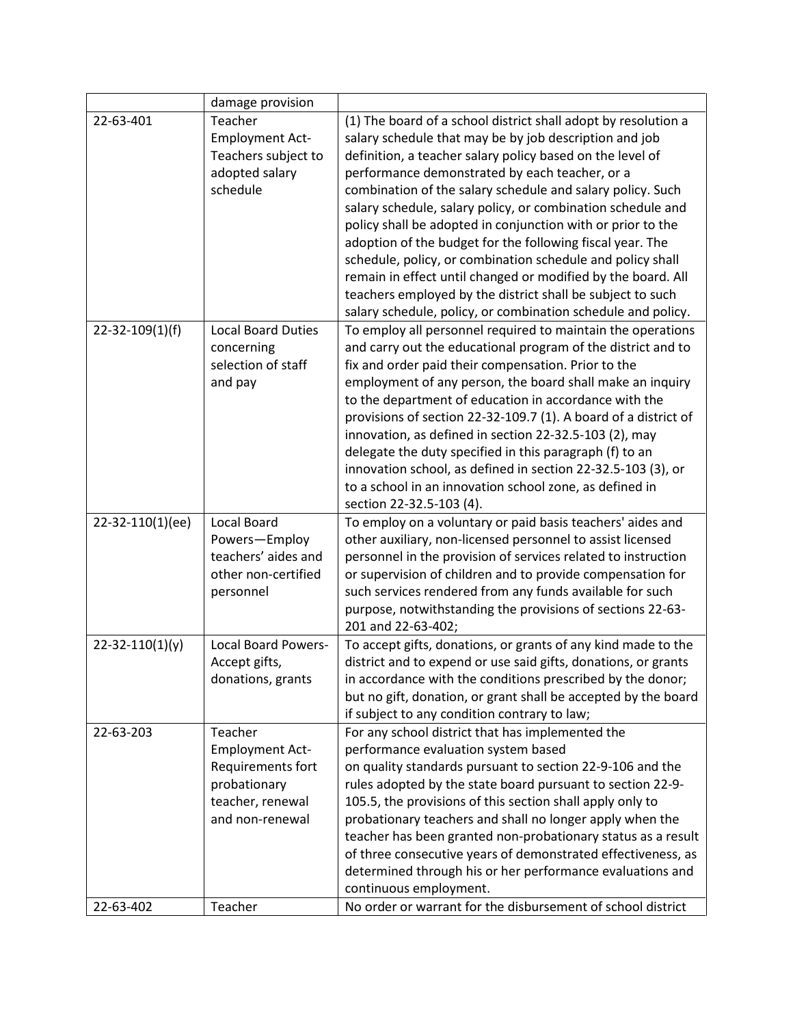|                       | damage provision                  |                                                                                                                         |
|-----------------------|-----------------------------------|-------------------------------------------------------------------------------------------------------------------------|
| 22-63-401             | Teacher                           | (1) The board of a school district shall adopt by resolution a                                                          |
|                       | <b>Employment Act-</b>            | salary schedule that may be by job description and job                                                                  |
|                       | Teachers subject to               | definition, a teacher salary policy based on the level of                                                               |
|                       | adopted salary                    | performance demonstrated by each teacher, or a                                                                          |
|                       | schedule                          | combination of the salary schedule and salary policy. Such                                                              |
|                       |                                   | salary schedule, salary policy, or combination schedule and                                                             |
|                       |                                   | policy shall be adopted in conjunction with or prior to the                                                             |
|                       |                                   | adoption of the budget for the following fiscal year. The                                                               |
|                       |                                   | schedule, policy, or combination schedule and policy shall                                                              |
|                       |                                   | remain in effect until changed or modified by the board. All                                                            |
|                       |                                   | teachers employed by the district shall be subject to such                                                              |
|                       |                                   | salary schedule, policy, or combination schedule and policy.                                                            |
| $22 - 32 - 109(1)(f)$ | <b>Local Board Duties</b>         | To employ all personnel required to maintain the operations                                                             |
|                       | concerning                        | and carry out the educational program of the district and to                                                            |
|                       | selection of staff                | fix and order paid their compensation. Prior to the                                                                     |
|                       | and pay                           | employment of any person, the board shall make an inquiry                                                               |
|                       |                                   | to the department of education in accordance with the                                                                   |
|                       |                                   | provisions of section 22-32-109.7 (1). A board of a district of                                                         |
|                       |                                   | innovation, as defined in section 22-32.5-103 (2), may                                                                  |
|                       |                                   | delegate the duty specified in this paragraph (f) to an                                                                 |
|                       |                                   | innovation school, as defined in section 22-32.5-103 (3), or                                                            |
|                       |                                   | to a school in an innovation school zone, as defined in                                                                 |
|                       |                                   | section 22-32.5-103 (4).                                                                                                |
| 22-32-110(1)(ee)      | Local Board                       | To employ on a voluntary or paid basis teachers' aides and                                                              |
|                       | Powers-Employ                     | other auxiliary, non-licensed personnel to assist licensed                                                              |
|                       | teachers' aides and               | personnel in the provision of services related to instruction                                                           |
|                       | other non-certified               | or supervision of children and to provide compensation for                                                              |
|                       | personnel                         | such services rendered from any funds available for such                                                                |
|                       |                                   | purpose, notwithstanding the provisions of sections 22-63-                                                              |
|                       |                                   | 201 and 22-63-402;                                                                                                      |
| $22 - 32 - 110(1)(y)$ | Local Board Powers-               | To accept gifts, donations, or grants of any kind made to the                                                           |
|                       | Accept gifts,                     | district and to expend or use said gifts, donations, or grants                                                          |
|                       | donations, grants                 | in accordance with the conditions prescribed by the donor;                                                              |
|                       |                                   | but no gift, donation, or grant shall be accepted by the board                                                          |
|                       |                                   | if subject to any condition contrary to law;                                                                            |
| 22-63-203             | Teacher                           | For any school district that has implemented the                                                                        |
|                       | <b>Employment Act-</b>            | performance evaluation system based                                                                                     |
|                       | Requirements fort<br>probationary | on quality standards pursuant to section 22-9-106 and the<br>rules adopted by the state board pursuant to section 22-9- |
|                       | teacher, renewal                  |                                                                                                                         |
|                       | and non-renewal                   | 105.5, the provisions of this section shall apply only to<br>probationary teachers and shall no longer apply when the   |
|                       |                                   | teacher has been granted non-probationary status as a result                                                            |
|                       |                                   | of three consecutive years of demonstrated effectiveness, as                                                            |
|                       |                                   | determined through his or her performance evaluations and                                                               |
|                       |                                   | continuous employment.                                                                                                  |
| 22-63-402             | Teacher                           | No order or warrant for the disbursement of school district                                                             |
|                       |                                   |                                                                                                                         |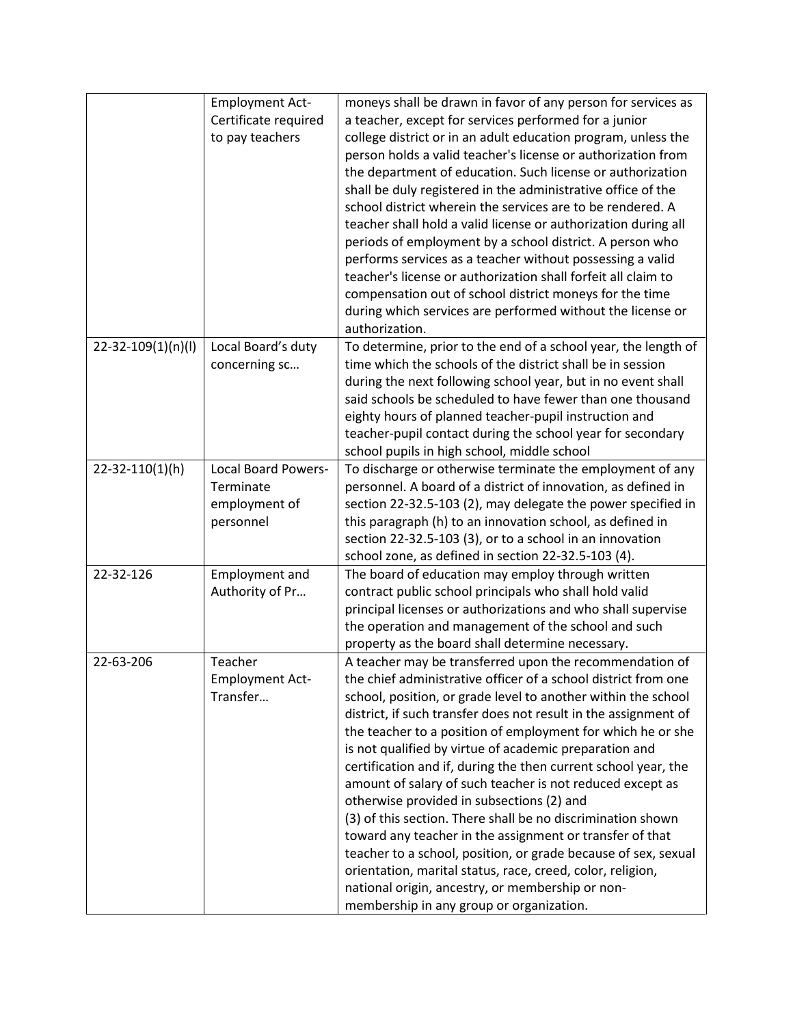|                    | <b>Employment Act-</b> | moneys shall be drawn in favor of any person for services as    |
|--------------------|------------------------|-----------------------------------------------------------------|
|                    | Certificate required   | a teacher, except for services performed for a junior           |
|                    | to pay teachers        | college district or in an adult education program, unless the   |
|                    |                        | person holds a valid teacher's license or authorization from    |
|                    |                        | the department of education. Such license or authorization      |
|                    |                        | shall be duly registered in the administrative office of the    |
|                    |                        | school district wherein the services are to be rendered. A      |
|                    |                        |                                                                 |
|                    |                        | teacher shall hold a valid license or authorization during all  |
|                    |                        | periods of employment by a school district. A person who        |
|                    |                        | performs services as a teacher without possessing a valid       |
|                    |                        | teacher's license or authorization shall forfeit all claim to   |
|                    |                        | compensation out of school district moneys for the time         |
|                    |                        | during which services are performed without the license or      |
|                    |                        | authorization.                                                  |
| 22-32-109(1)(n)(l) | Local Board's duty     | To determine, prior to the end of a school year, the length of  |
|                    | concerning sc          | time which the schools of the district shall be in session      |
|                    |                        | during the next following school year, but in no event shall    |
|                    |                        | said schools be scheduled to have fewer than one thousand       |
|                    |                        | eighty hours of planned teacher-pupil instruction and           |
|                    |                        | teacher-pupil contact during the school year for secondary      |
|                    |                        | school pupils in high school, middle school                     |
| 22-32-110(1)(h)    | Local Board Powers-    | To discharge or otherwise terminate the employment of any       |
|                    | Terminate              | personnel. A board of a district of innovation, as defined in   |
|                    | employment of          | section 22-32.5-103 (2), may delegate the power specified in    |
|                    | personnel              | this paragraph (h) to an innovation school, as defined in       |
|                    |                        | section 22-32.5-103 (3), or to a school in an innovation        |
|                    |                        | school zone, as defined in section 22-32.5-103 (4).             |
| 22-32-126          | <b>Employment and</b>  | The board of education may employ through written               |
|                    | Authority of Pr        | contract public school principals who shall hold valid          |
|                    |                        | principal licenses or authorizations and who shall supervise    |
|                    |                        | the operation and management of the school and such             |
|                    |                        | property as the board shall determine necessary.                |
| 22-63-206          | Teacher                | A teacher may be transferred upon the recommendation of         |
|                    |                        | the chief administrative officer of a school district from one  |
|                    | <b>Employment Act-</b> |                                                                 |
|                    | Transfer               | school, position, or grade level to another within the school   |
|                    |                        | district, if such transfer does not result in the assignment of |
|                    |                        | the teacher to a position of employment for which he or she     |
|                    |                        | is not qualified by virtue of academic preparation and          |
|                    |                        | certification and if, during the then current school year, the  |
|                    |                        | amount of salary of such teacher is not reduced except as       |
|                    |                        | otherwise provided in subsections (2) and                       |
|                    |                        | (3) of this section. There shall be no discrimination shown     |
|                    |                        | toward any teacher in the assignment or transfer of that        |
|                    |                        | teacher to a school, position, or grade because of sex, sexual  |
|                    |                        | orientation, marital status, race, creed, color, religion,      |
|                    |                        | national origin, ancestry, or membership or non-                |
|                    |                        | membership in any group or organization.                        |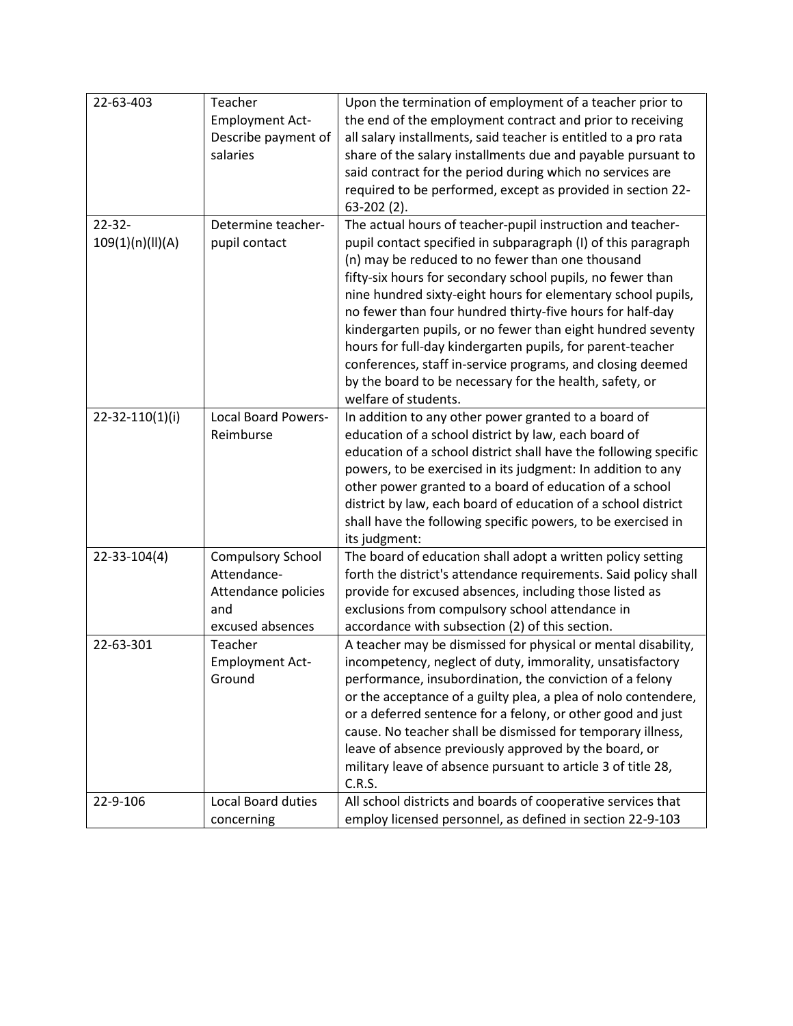| 22-63-403             | Teacher                    | Upon the termination of employment of a teacher prior to         |
|-----------------------|----------------------------|------------------------------------------------------------------|
|                       | <b>Employment Act-</b>     | the end of the employment contract and prior to receiving        |
|                       | Describe payment of        | all salary installments, said teacher is entitled to a pro rata  |
|                       | salaries                   | share of the salary installments due and payable pursuant to     |
|                       |                            | said contract for the period during which no services are        |
|                       |                            | required to be performed, except as provided in section 22-      |
|                       |                            | 63-202 (2).                                                      |
| $22 - 32 -$           | Determine teacher-         | The actual hours of teacher-pupil instruction and teacher-       |
| 109(1)(n)(II)(A)      | pupil contact              | pupil contact specified in subparagraph (I) of this paragraph    |
|                       |                            | (n) may be reduced to no fewer than one thousand                 |
|                       |                            | fifty-six hours for secondary school pupils, no fewer than       |
|                       |                            | nine hundred sixty-eight hours for elementary school pupils,     |
|                       |                            | no fewer than four hundred thirty-five hours for half-day        |
|                       |                            | kindergarten pupils, or no fewer than eight hundred seventy      |
|                       |                            | hours for full-day kindergarten pupils, for parent-teacher       |
|                       |                            | conferences, staff in-service programs, and closing deemed       |
|                       |                            | by the board to be necessary for the health, safety, or          |
|                       |                            | welfare of students.                                             |
| $22 - 32 - 110(1)(i)$ | <b>Local Board Powers-</b> | In addition to any other power granted to a board of             |
|                       | Reimburse                  | education of a school district by law, each board of             |
|                       |                            | education of a school district shall have the following specific |
|                       |                            | powers, to be exercised in its judgment: In addition to any      |
|                       |                            | other power granted to a board of education of a school          |
|                       |                            | district by law, each board of education of a school district    |
|                       |                            | shall have the following specific powers, to be exercised in     |
|                       |                            | its judgment:                                                    |
| $22 - 33 - 104(4)$    | <b>Compulsory School</b>   | The board of education shall adopt a written policy setting      |
|                       | Attendance-                | forth the district's attendance requirements. Said policy shall  |
|                       | Attendance policies        | provide for excused absences, including those listed as          |
|                       | and                        | exclusions from compulsory school attendance in                  |
|                       | excused absences           | accordance with subsection (2) of this section.                  |
| 22-63-301             | Teacher                    | A teacher may be dismissed for physical or mental disability,    |
|                       | <b>Employment Act-</b>     | incompetency, neglect of duty, immorality, unsatisfactory        |
|                       | Ground                     | performance, insubordination, the conviction of a felony         |
|                       |                            | or the acceptance of a guilty plea, a plea of nolo contendere,   |
|                       |                            | or a deferred sentence for a felony, or other good and just      |
|                       |                            | cause. No teacher shall be dismissed for temporary illness,      |
|                       |                            |                                                                  |
|                       |                            | leave of absence previously approved by the board, or            |
|                       |                            | military leave of absence pursuant to article 3 of title 28,     |
|                       |                            | C.R.S.                                                           |
| 22-9-106              | <b>Local Board duties</b>  | All school districts and boards of cooperative services that     |
|                       | concerning                 | employ licensed personnel, as defined in section 22-9-103        |